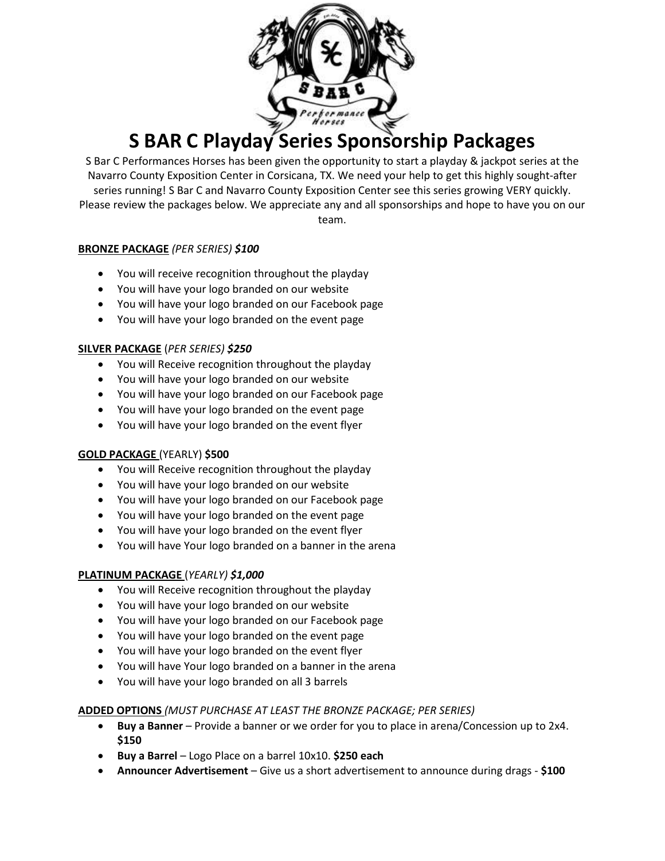

### **S BAR C Playday Series Sponsorship Packages**

S Bar C Performances Horses has been given the opportunity to start a playday & jackpot series at the Navarro County Exposition Center in Corsicana, TX. We need your help to get this highly sought-after series running! S Bar C and Navarro County Exposition Center see this series growing VERY quickly. Please review the packages below. We appreciate any and all sponsorships and hope to have you on our team.

### **BRONZE PACKAGE** *(PER SERIES) \$100*

- You will receive recognition throughout the playday
- You will have your logo branded on our website
- You will have your logo branded on our Facebook page
- You will have your logo branded on the event page

### **SILVER PACKAGE** (*PER SERIES) \$250*

- You will Receive recognition throughout the playday
- You will have your logo branded on our website
- You will have your logo branded on our Facebook page
- You will have your logo branded on the event page
- You will have your logo branded on the event flyer

### **GOLD PACKAGE** (YEARLY) **\$500**

- You will Receive recognition throughout the playday
- You will have your logo branded on our website
- You will have your logo branded on our Facebook page
- You will have your logo branded on the event page
- You will have your logo branded on the event flyer
- You will have Your logo branded on a banner in the arena

### **PLATINUM PACKAGE** (*YEARLY) \$1,000*

- You will Receive recognition throughout the playday
- You will have your logo branded on our website
- You will have your logo branded on our Facebook page
- You will have your logo branded on the event page
- You will have your logo branded on the event flyer
- You will have Your logo branded on a banner in the arena
- You will have your logo branded on all 3 barrels

### **ADDED OPTIONS** *(MUST PURCHASE AT LEAST THE BRONZE PACKAGE; PER SERIES)*

- **Buy a Banner** Provide a banner or we order for you to place in arena/Concession up to 2x4. **\$150**
- **Buy a Barrel** Logo Place on a barrel 10x10. **\$250 each**
- **Announcer Advertisement** Give us a short advertisement to announce during drags **\$100**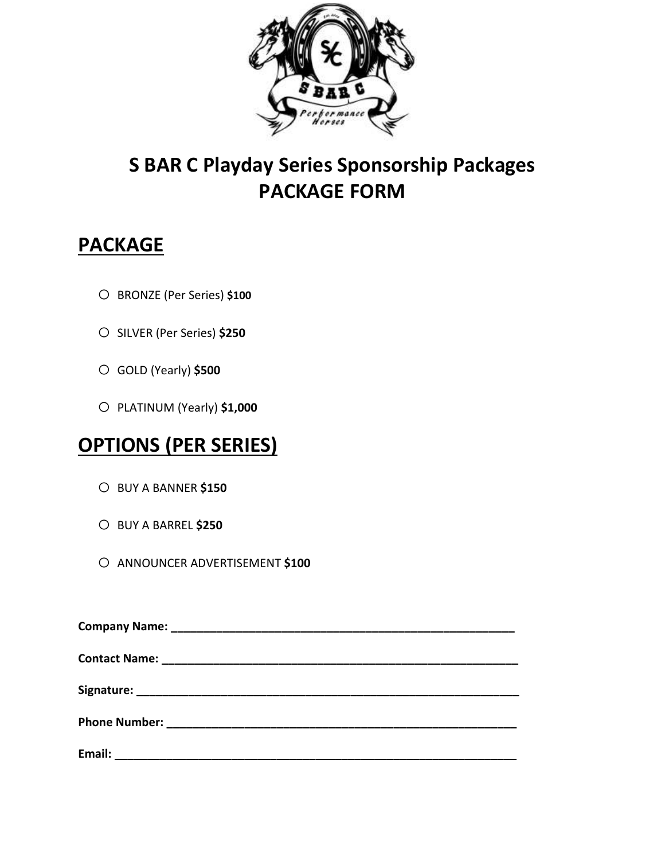

### **S BAR C Playday Series Sponsorship Packages PACKAGE FORM**

### **PACKAGE**

- o BRONZE (Per Series) **\$100**
- o SILVER (Per Series) **\$250**
- o GOLD (Yearly) **\$500**
- o PLATINUM (Yearly) **\$1,000**

# **OPTIONS (PER SERIES)**

- o BUY A BANNER **\$150**
- o BUY A BARREL **\$250**
- o ANNOUNCER ADVERTISEMENT **\$100**

| Email: |  |  |
|--------|--|--|